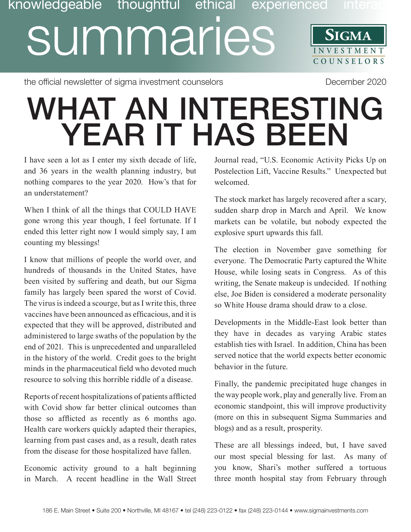## knowledgeable thoughtful ethical experienced inter summaries **SIGMA INVESTMENT COUNSE L O R S**

the official newsletter of sigma investment counselors and the compact of the December 2020

## WHAT AN INTERESTING YEAR IT HAS BEEN

I have seen a lot as I enter my sixth decade of life, and 36 years in the wealth planning industry, but nothing compares to the year 2020. How's that for an understatement?

When I think of all the things that COULD HAVE gone wrong this year though, I feel fortunate. If I ended this letter right now I would simply say, I am counting my blessings!

I know that millions of people the world over, and hundreds of thousands in the United States, have been visited by suffering and death, but our Sigma family has largely been spared the worst of Covid. The virus is indeed a scourge, but as I write this, three vaccines have been announced as efficacious, and it is expected that they will be approved, distributed and administered to large swaths of the population by the end of 2021. This is unprecedented and unparalleled in the history of the world. Credit goes to the bright minds in the pharmaceutical field who devoted much resource to solving this horrible riddle of a disease.

Reports of recent hospitalizations of patients afflicted with Covid show far better clinical outcomes than those so afflicted as recently as 6 months ago. Health care workers quickly adapted their therapies, learning from past cases and, as a result, death rates from the disease for those hospitalized have fallen.

Economic activity ground to a halt beginning in March. A recent headline in the Wall Street Journal read, "U.S. Economic Activity Picks Up on Postelection Lift, Vaccine Results." Unexpected but welcomed.

The stock market has largely recovered after a scary, sudden sharp drop in March and April. We know markets can be volatile, but nobody expected the explosive spurt upwards this fall.

The election in November gave something for everyone. The Democratic Party captured the White House, while losing seats in Congress. As of this writing, the Senate makeup is undecided. If nothing else, Joe Biden is considered a moderate personality so White House drama should draw to a close.

Developments in the Middle-East look better than they have in decades as varying Arabic states establish ties with Israel. In addition, China has been served notice that the world expects better economic behavior in the future.

Finally, the pandemic precipitated huge changes in the way people work, play and generally live. From an economic standpoint, this will improve productivity (more on this in subsequent Sigma Summaries and blogs) and as a result, prosperity.

These are all blessings indeed, but, I have saved our most special blessing for last. As many of you know, Shari's mother suffered a tortuous three month hospital stay from February through